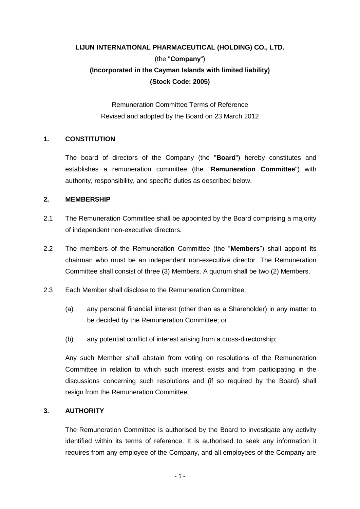# **LIJUN INTERNATIONAL PHARMACEUTICAL (HOLDING) CO., LTD.**  (the "**Company**") **(Incorporated in the Cayman Islands with limited liability) (Stock Code: 2005)**

Remuneration Committee Terms of Reference Revised and adopted by the Board on 23 March 2012

## **1. CONSTITUTION**

The board of directors of the Company (the "**Board**") hereby constitutes and establishes a remuneration committee (the "**Remuneration Committee**") with authority, responsibility, and specific duties as described below.

## **2. MEMBERSHIP**

- 2.1 The Remuneration Committee shall be appointed by the Board comprising a majority of independent non-executive directors.
- 2.2 The members of the Remuneration Committee (the "**Members**") shall appoint its chairman who must be an independent non-executive director. The Remuneration Committee shall consist of three (3) Members. A quorum shall be two (2) Members.
- 2.3 Each Member shall disclose to the Remuneration Committee:
	- (a) any personal financial interest (other than as a Shareholder) in any matter to be decided by the Remuneration Committee; or
	- (b) any potential conflict of interest arising from a cross-directorship;

Any such Member shall abstain from voting on resolutions of the Remuneration Committee in relation to which such interest exists and from participating in the discussions concerning such resolutions and (if so required by the Board) shall resign from the Remuneration Committee.

#### **3. AUTHORITY**

The Remuneration Committee is authorised by the Board to investigate any activity identified within its terms of reference. It is authorised to seek any information it requires from any employee of the Company, and all employees of the Company are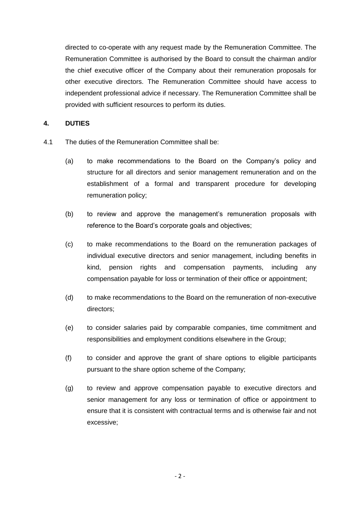directed to co-operate with any request made by the Remuneration Committee. The Remuneration Committee is authorised by the Board to consult the chairman and/or the chief executive officer of the Company about their remuneration proposals for other executive directors. The Remuneration Committee should have access to independent professional advice if necessary. The Remuneration Committee shall be provided with sufficient resources to perform its duties.

# **4. DUTIES**

- 4.1 The duties of the Remuneration Committee shall be:
	- (a) to make recommendations to the Board on the Company's policy and structure for all directors and senior management remuneration and on the establishment of a formal and transparent procedure for developing remuneration policy;
	- (b) to review and approve the management's remuneration proposals with reference to the Board's corporate goals and objectives;
	- (c) to make recommendations to the Board on the remuneration packages of individual executive directors and senior management, including benefits in kind, pension rights and compensation payments, including any compensation payable for loss or termination of their office or appointment;
	- (d) to make recommendations to the Board on the remuneration of non-executive directors;
	- (e) to consider salaries paid by comparable companies, time commitment and responsibilities and employment conditions elsewhere in the Group;
	- (f) to consider and approve the grant of share options to eligible participants pursuant to the share option scheme of the Company;
	- (g) to review and approve compensation payable to executive directors and senior management for any loss or termination of office or appointment to ensure that it is consistent with contractual terms and is otherwise fair and not excessive;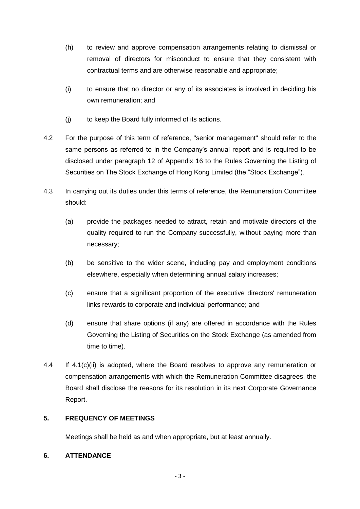- (h) to review and approve compensation arrangements relating to dismissal or removal of directors for misconduct to ensure that they consistent with contractual terms and are otherwise reasonable and appropriate;
- (i) to ensure that no director or any of its associates is involved in deciding his own remuneration; and
- (j) to keep the Board fully informed of its actions.
- 4.2 For the purpose of this term of reference, "senior management" should refer to the same persons as referred to in the Company's annual report and is required to be disclosed under paragraph 12 of Appendix 16 to the Rules Governing the Listing of Securities on The Stock Exchange of Hong Kong Limited (the "Stock Exchange").
- 4.3 In carrying out its duties under this terms of reference, the Remuneration Committee should:
	- (a) provide the packages needed to attract, retain and motivate directors of the quality required to run the Company successfully, without paying more than necessary;
	- (b) be sensitive to the wider scene, including pay and employment conditions elsewhere, especially when determining annual salary increases;
	- (c) ensure that a significant proportion of the executive directors' remuneration links rewards to corporate and individual performance; and
	- (d) ensure that share options (if any) are offered in accordance with the Rules Governing the Listing of Securities on the Stock Exchange (as amended from time to time).
- 4.4 If 4.1(c)(ii) is adopted, where the Board resolves to approve any remuneration or compensation arrangements with which the Remuneration Committee disagrees, the Board shall disclose the reasons for its resolution in its next Corporate Governance Report.

# **5. FREQUENCY OF MEETINGS**

Meetings shall be held as and when appropriate, but at least annually.

# **6. ATTENDANCE**